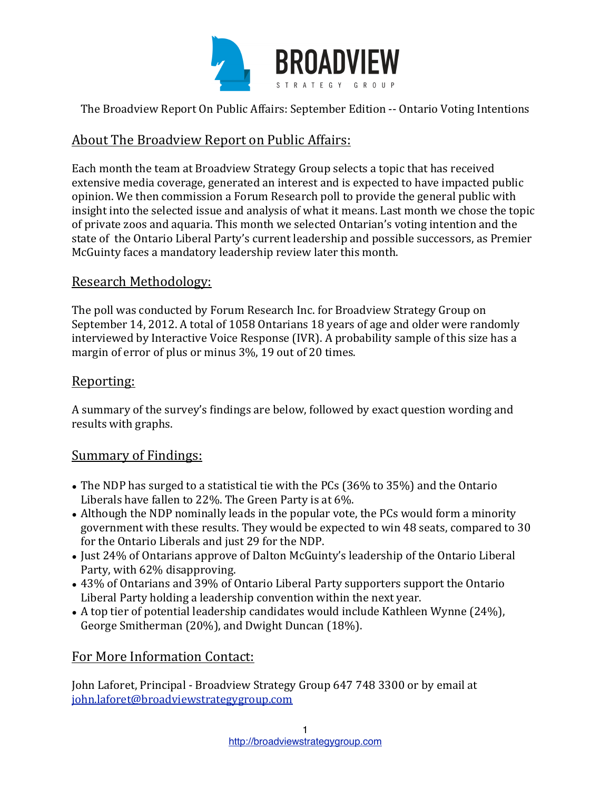

# About The Broadview Report on Public Affairs:

Each month the team at Broadview Strategy Group selects a topic that has received extensive media coverage, generated an interest and is expected to have impacted public opinion. We then commission a Forum Research poll to provide the general public with insight into the selected issue and analysis of what it means. Last month we chose the topic of private zoos and aquaria. This month we selected Ontarian's voting intention and the state of the Ontario Liberal Party's current leadership and possible successors, as Premier McGuinty faces a mandatory leadership review later this month.

### **Research Methodology:**

The poll was conducted by Forum Research Inc. for Broadview Strategy Group on September 14, 2012. A total of 1058 Ontarians 18 years of age and older were randomly interviewed by Interactive Voice Response (IVR). A probability sample of this size has a margin of error of plus or minus  $3\%$ , 19 out of 20 times.

### Reporting:

A summary of the survey's findings are below, followed by exact question wording and results with graphs.

## Summary of Findings:

- The NDP has surged to a statistical tie with the PCs (36% to 35%) and the Ontario Liberals have fallen to 22%. The Green Party is at  $6\%$ .
- Although the NDP nominally leads in the popular vote, the PCs would form a minority government with these results. They would be expected to win 48 seats, compared to 30 for the Ontario Liberals and just 29 for the NDP.
- Just 24% of Ontarians approve of Dalton McGuinty's leadership of the Ontario Liberal Party, with 62% disapproving.
- 43% of Ontarians and 39% of Ontario Liberal Party supporters support the Ontario Liberal Party holding a leadership convention within the next year.
- A top tier of potential leadership candidates would include Kathleen Wynne (24%), George Smitherman (20%), and Dwight Duncan (18%).

## For More Information Contact:

John Laforet, Principal - Broadview Strategy Group 647 748 3300 or by email at [john.laforet@broadviewstrategygroup.com](mailto:john.laforet@broadviewstrategygroup.com)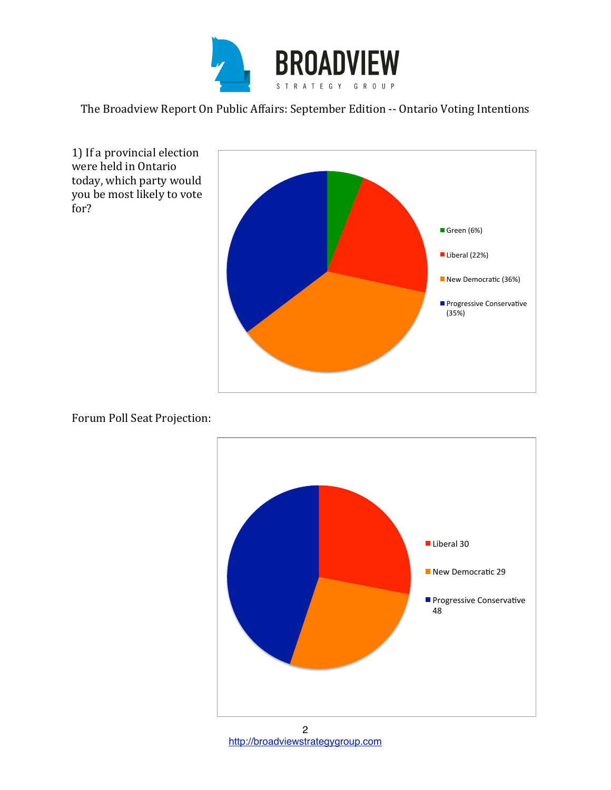



#### Forum Poll Seat Projection:

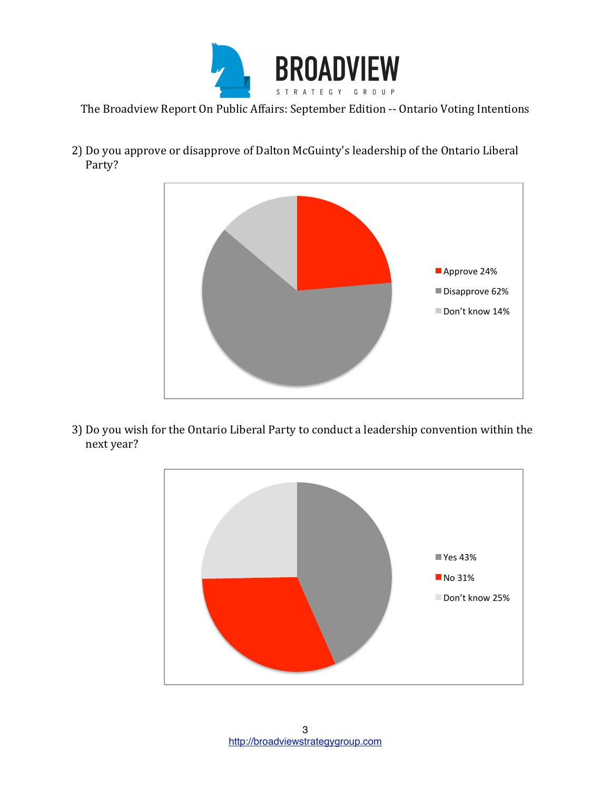

2) Do you approve or disapprove of Dalton McGuinty's leadership of the Ontario Liberal Party?



3) Do you wish for the Ontario Liberal Party to conduct a leadership convention within the next year?